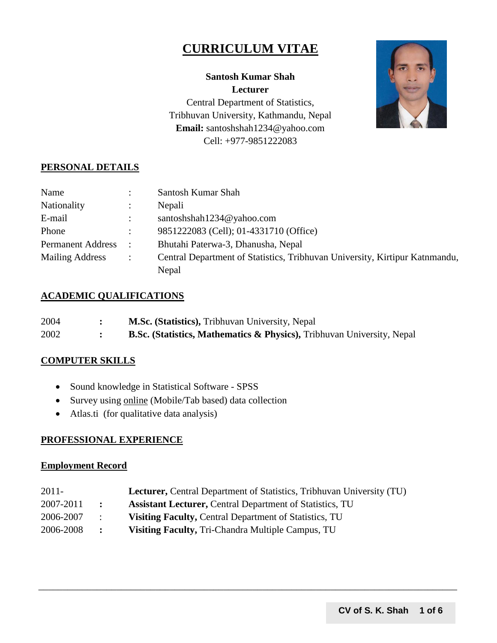# **CURRICULUM VITAE**



**Santosh Kumar Shah Lecturer** Central Department of Statistics, Tribhuvan University, Kathmandu, Nepal **Email:** santoshshah1234@yahoo.com Cell: +977-9851222083

# **PERSONAL DETAILS**

| Name                     |                      | Santosh Kumar Shah                                                          |
|--------------------------|----------------------|-----------------------------------------------------------------------------|
| Nationality              |                      | Nepali                                                                      |
| E-mail                   |                      | santoshshah1234@yahoo.com                                                   |
| Phone                    |                      | 9851222083 (Cell); 01-4331710 (Office)                                      |
| <b>Permanent Address</b> |                      | Bhutahi Paterwa-3, Dhanusha, Nepal                                          |
| <b>Mailing Address</b>   | $\ddot{\phantom{1}}$ | Central Department of Statistics, Tribhuvan University, Kirtipur Katnmandu, |
|                          |                      | Nepal                                                                       |

#### **ACADEMIC QUALIFICATIONS**

| 2004 | <b>M.Sc. (Statistics), Tribhuvan University, Nepal</b>                        |
|------|-------------------------------------------------------------------------------|
| 2002 | <b>B.Sc.</b> (Statistics, Mathematics & Physics), Tribhuvan University, Nepal |

### **COMPUTER SKILLS**

- Sound knowledge in Statistical Software SPSS
- Survey using online (Mobile/Tab based) data collection
- Atlas.ti (for qualitative data analysis)

#### **PROFESSIONAL EXPERIENCE**

#### **Employment Record**

| $2011 -$  |                 | <b>Lecturer, Central Department of Statistics, Tribhuvan University (TU)</b> |
|-----------|-----------------|------------------------------------------------------------------------------|
| 2007-2011 | $\mathbf{r}$    | <b>Assistant Lecturer, Central Department of Statistics, TU</b>              |
| 2006-2007 | $\mathcal{A}$ . | Visiting Faculty, Central Department of Statistics, TU                       |
| 2006-2008 | $\mathbf{L}$    | <b>Visiting Faculty, Tri-Chandra Multiple Campus, TU</b>                     |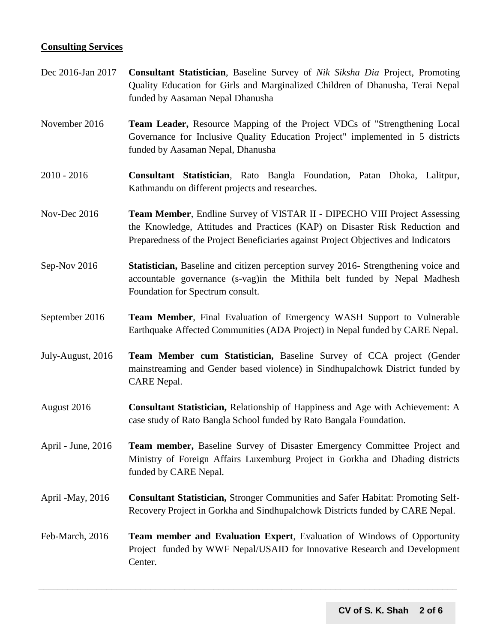#### **Consulting Services**

- Dec 2016-Jan 2017 **Consultant Statistician**, Baseline Survey of *Nik Siksha Dia* Project, Promoting Quality Education for Girls and Marginalized Children of Dhanusha, Terai Nepal funded by Aasaman Nepal Dhanusha
- November 2016 **Team Leader,** Resource Mapping of the Project VDCs of "Strengthening Local Governance for Inclusive Quality Education Project" implemented in 5 districts funded by Aasaman Nepal, Dhanusha
- 2010 2016 **Consultant Statistician**, Rato Bangla Foundation, Patan Dhoka, Lalitpur, Kathmandu on different projects and researches.
- Nov-Dec 2016 **Team Member**, Endline Survey of VISTAR II DIPECHO VIII Project Assessing the Knowledge, Attitudes and Practices (KAP) on Disaster Risk Reduction and Preparedness of the Project Beneficiaries against Project Objectives and Indicators
- Sep-Nov 2016 **Statistician,** Baseline and citizen perception survey 2016- Strengthening voice and accountable governance (s-vag)in the Mithila belt funded by Nepal Madhesh Foundation for Spectrum consult.
- September 2016 **Team Member**, Final Evaluation of Emergency WASH Support to Vulnerable Earthquake Affected Communities (ADA Project) in Nepal funded by CARE Nepal.
- July-August, 2016 **Team Member cum Statistician,** Baseline Survey of CCA project (Gender mainstreaming and Gender based violence) in Sindhupalchowk District funded by CARE Nepal.
- August 2016 **Consultant Statistician,** Relationship of Happiness and Age with Achievement: A case study of Rato Bangla School funded by Rato Bangala Foundation.
- April June, 2016 **Team member,** Baseline Survey of Disaster Emergency Committee Project and Ministry of Foreign Affairs Luxemburg Project in Gorkha and Dhading districts funded by CARE Nepal.
- April -May, 2016 **Consultant Statistician,** Stronger Communities and Safer Habitat: Promoting Self-Recovery Project in Gorkha and Sindhupalchowk Districts funded by CARE Nepal.
- Feb-March, 2016 **Team member and Evaluation Expert**, Evaluation of Windows of Opportunity Project funded by WWF Nepal/USAID for Innovative Research and Development Center.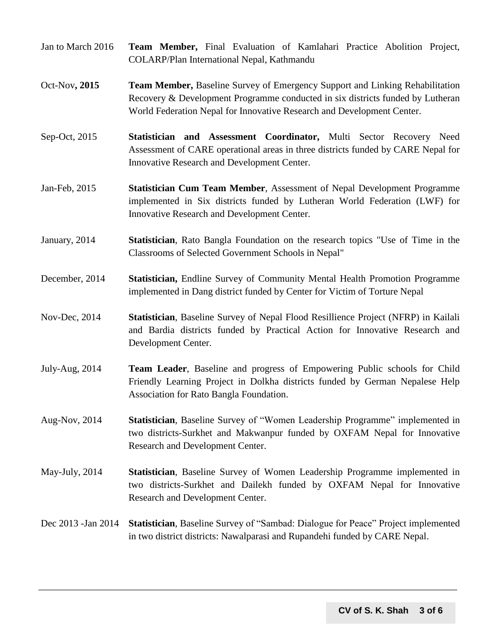- Jan to March 2016 **Team Member,** Final Evaluation of Kamlahari Practice Abolition Project, COLARP/Plan International Nepal, Kathmandu
- Oct-Nov**, 2015 Team Member,** Baseline Survey of Emergency Support and Linking Rehabilitation Recovery & Development Programme conducted in six districts funded by Lutheran World Federation Nepal for Innovative Research and Development Center.
- Sep-Oct, 2015 **Statistician and Assessment Coordinator,** Multi Sector Recovery Need Assessment of CARE operational areas in three districts funded by CARE Nepal for Innovative Research and Development Center.
- Jan-Feb, 2015 **Statistician Cum Team Member**, Assessment of Nepal Development Programme implemented in Six districts funded by Lutheran World Federation (LWF) for Innovative Research and Development Center.
- January, 2014 **Statistician**, Rato Bangla Foundation on the research topics "Use of Time in the Classrooms of Selected Government Schools in Nepal"
- December, 2014 **Statistician,** Endline Survey of Community Mental Health Promotion Programme implemented in Dang district funded by Center for Victim of Torture Nepal
- Nov-Dec, 2014 **Statistician**, Baseline Survey of Nepal Flood Resillience Project (NFRP) in Kailali and Bardia districts funded by Practical Action for Innovative Research and Development Center.
- July-Aug, 2014 **Team Leader**, Baseline and progress of Empowering Public schools for Child Friendly Learning Project in Dolkha districts funded by German Nepalese Help Association for Rato Bangla Foundation.
- Aug-Nov, 2014 **Statistician**, Baseline Survey of "Women Leadership Programme" implemented in two districts-Surkhet and Makwanpur funded by OXFAM Nepal for Innovative Research and Development Center.
- May-July, 2014 **Statistician**, Baseline Survey of Women Leadership Programme implemented in two districts-Surkhet and Dailekh funded by OXFAM Nepal for Innovative Research and Development Center.

# Dec 2013 -Jan 2014 **Statistician**, Baseline Survey of "Sambad: Dialogue for Peace" Project implemented in two district districts: Nawalparasi and Rupandehi funded by CARE Nepal.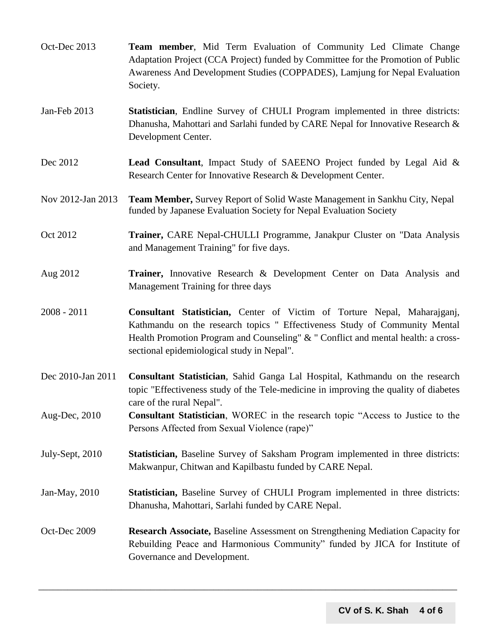| Oct-Dec 2013      | Team member, Mid Term Evaluation of Community Led Climate Change<br>Adaptation Project (CCA Project) funded by Committee for the Promotion of Public<br>Awareness And Development Studies (COPPADES), Lamjung for Nepal Evaluation<br>Society.                                            |
|-------------------|-------------------------------------------------------------------------------------------------------------------------------------------------------------------------------------------------------------------------------------------------------------------------------------------|
| Jan-Feb 2013      | Statistician, Endline Survey of CHULI Program implemented in three districts:<br>Dhanusha, Mahottari and Sarlahi funded by CARE Nepal for Innovative Research &<br>Development Center.                                                                                                    |
| Dec 2012          | <b>Lead Consultant</b> , Impact Study of SAEENO Project funded by Legal Aid &<br>Research Center for Innovative Research & Development Center.                                                                                                                                            |
| Nov 2012-Jan 2013 | Team Member, Survey Report of Solid Waste Management in Sankhu City, Nepal<br>funded by Japanese Evaluation Society for Nepal Evaluation Society                                                                                                                                          |
| Oct 2012          | Trainer, CARE Nepal-CHULLI Programme, Janakpur Cluster on "Data Analysis<br>and Management Training" for five days.                                                                                                                                                                       |
| Aug 2012          | Trainer, Innovative Research & Development Center on Data Analysis and<br>Management Training for three days                                                                                                                                                                              |
| $2008 - 2011$     | Consultant Statistician, Center of Victim of Torture Nepal, Maharajganj,<br>Kathmandu on the research topics " Effectiveness Study of Community Mental<br>Health Promotion Program and Counseling" & " Conflict and mental health: a cross-<br>sectional epidemiological study in Nepal". |
| Dec 2010-Jan 2011 | Consultant Statistician, Sahid Ganga Lal Hospital, Kathmandu on the research<br>topic "Effectiveness study of the Tele-medicine in improving the quality of diabetes<br>care of the rural Nepal".                                                                                         |
| Aug-Dec, 2010     | <b>Consultant Statistician</b> , WOREC in the research topic "Access to Justice to the<br>Persons Affected from Sexual Violence (rape)"                                                                                                                                                   |
| July-Sept, 2010   | Statistician, Baseline Survey of Saksham Program implemented in three districts:<br>Makwanpur, Chitwan and Kapilbastu funded by CARE Nepal.                                                                                                                                               |
| Jan-May, 2010     | Statistician, Baseline Survey of CHULI Program implemented in three districts:<br>Dhanusha, Mahottari, Sarlahi funded by CARE Nepal.                                                                                                                                                      |
| Oct-Dec 2009      | <b>Research Associate, Baseline Assessment on Strengthening Mediation Capacity for</b><br>Rebuilding Peace and Harmonious Community" funded by JICA for Institute of<br>Governance and Development.                                                                                       |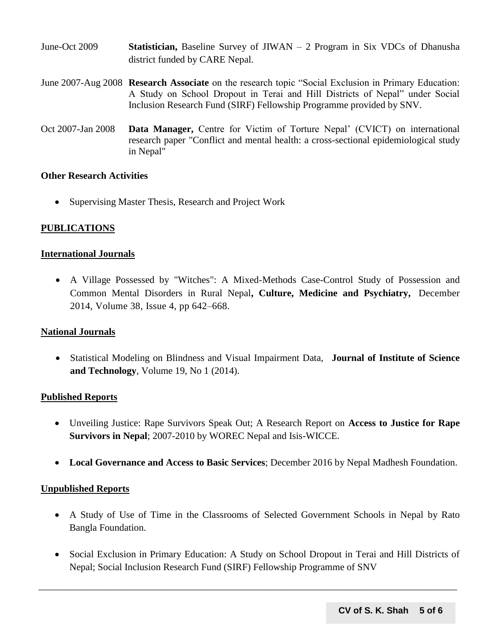| June-Oct 2009     | <b>Statistician,</b> Baseline Survey of $JIWAN - 2$ Program in Six VDCs of Dhanusha<br>district funded by CARE Nepal.                                                                                                                                       |
|-------------------|-------------------------------------------------------------------------------------------------------------------------------------------------------------------------------------------------------------------------------------------------------------|
|                   | June 2007-Aug 2008 Research Associate on the research topic "Social Exclusion in Primary Education:<br>A Study on School Dropout in Terai and Hill Districts of Nepal" under Social<br>Inclusion Research Fund (SIRF) Fellowship Programme provided by SNV. |
| Oct 2007-Jan 2008 | Data Manager, Centre for Victim of Torture Nepal' (CVICT) on international<br>research paper "Conflict and mental health: a cross-sectional epidemiological study                                                                                           |

#### **Other Research Activities**

• Supervising Master Thesis, Research and Project Work

in Nepal"

#### **PUBLICATIONS**

#### **International Journals**

 A Village Possessed by "Witches": A Mixed-Methods Case-Control Study of Possession and Common Mental Disorders in Rural Nepal**, Culture, Medicine and Psychiatry,** December 2014, Volume 38, [Issue](http://link.springer.com/journal/11013/38/4/page/1) 4, pp 642–668.

#### **National Journals**

 Statistical Modeling on Blindness and Visual Impairment Data, **[Journal of Institute of Science](http://www.nepjol.info/index.php/JIST)  [and Technology](http://www.nepjol.info/index.php/JIST)**, [Volume 19, No 1 \(2014\).](http://www.nepjol.info/index.php/JIST/issue/view/935)

#### **Published Reports**

- Unveiling Justice: Rape Survivors Speak Out; A Research Report on **Access to Justice for Rape Survivors in Nepal**; 2007-2010 by WOREC Nepal and Isis-WICCE.
- **Local Governance and Access to Basic Services**; December 2016 by Nepal Madhesh Foundation.

#### **Unpublished Reports**

- A Study of Use of Time in the Classrooms of Selected Government Schools in Nepal by Rato Bangla Foundation.
- Social Exclusion in Primary Education: A Study on School Dropout in Terai and Hill Districts of Nepal; Social Inclusion Research Fund (SIRF) Fellowship Programme of SNV